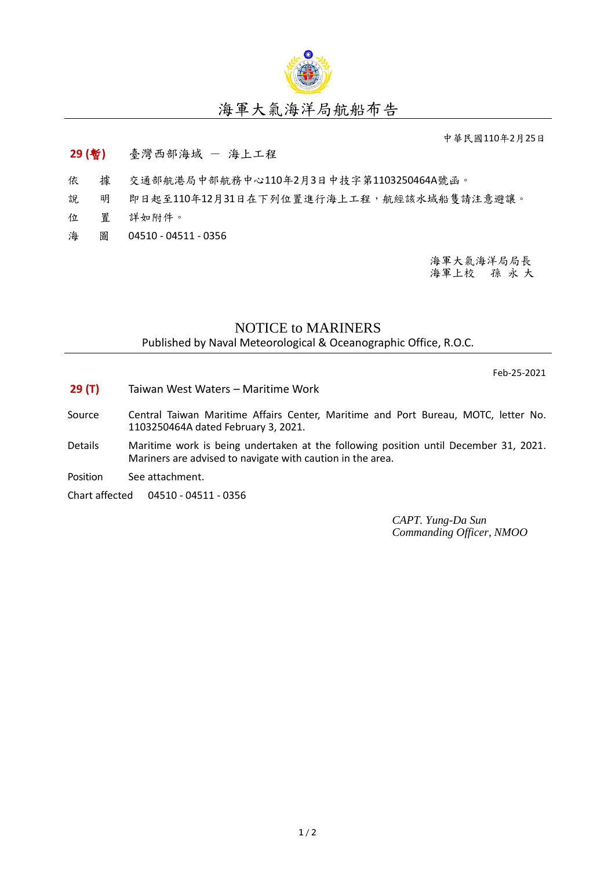

## 海軍大氣海洋局航船布告

中華民國110年2月25日

## **29 (**暫**)** 臺灣西部海域 - 海上工程

- 依 據 交通部航港局中部航務中心110年2月3日中技字第1103250464A號函。
- 說 明 即日起至110年12月31日在下列位置進行海上工程,航經該水域船隻請注意避讓。
- 位 置 詳如附件。
- 海 圖 04510 04511 0356

海軍大氣海洋局局長 海軍上校 孫 永 大

## NOTICE to MARINERS

Published by Naval Meteorological & Oceanographic Office, R.O.C.

Feb-25-2021

- **29 (T)** Taiwan West Waters Maritime Work
- Source Central Taiwan Maritime Affairs Center, Maritime and Port Bureau, MOTC, letter No. 1103250464A dated February 3, 2021.
- Details Maritime work is being undertaken at the following position until December 31, 2021. Mariners are advised to navigate with caution in the area.
- Position See attachment.

Chart affected 04510 - 04511 - 0356

*CAPT. Yung-Da Sun Commanding Officer, NMOO*